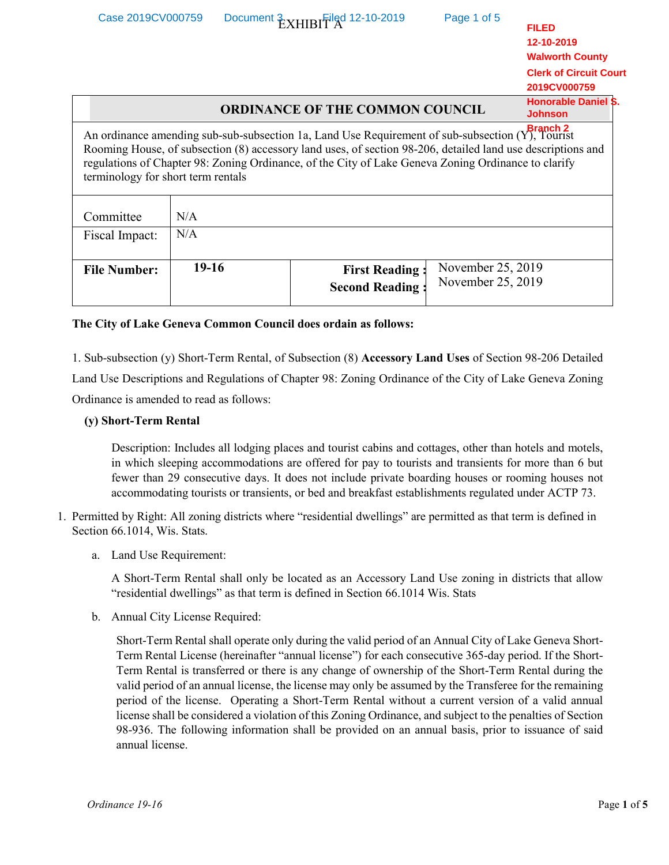| Case 2019CV000759                  |         | Document & YHIBIFiled 12-10-2019                                                                                                                                                                                                                                                                                       | Page 1 of 5                            | <b>FILED</b><br>12-10-2019                                              |
|------------------------------------|---------|------------------------------------------------------------------------------------------------------------------------------------------------------------------------------------------------------------------------------------------------------------------------------------------------------------------------|----------------------------------------|-------------------------------------------------------------------------|
|                                    |         |                                                                                                                                                                                                                                                                                                                        |                                        | <b>Walworth County</b><br><b>Clerk of Circuit Court</b><br>2019CV000759 |
|                                    |         | <b>ORDINANCE OF THE COMMON COUNCIL</b>                                                                                                                                                                                                                                                                                 |                                        | <b>Honorable Daniel S.</b><br><b>Johnson</b>                            |
| terminology for short term rentals |         | An ordinance amending sub-sub-subsection 1a, Land Use Requirement of sub-subsection (Y), Tourist<br>Rooming House, of subsection (8) accessory land uses, of section 98-206, detailed land use descriptions and<br>regulations of Chapter 98: Zoning Ordinance, of the City of Lake Geneva Zoning Ordinance to clarify |                                        |                                                                         |
| Committee                          | N/A     |                                                                                                                                                                                                                                                                                                                        |                                        |                                                                         |
| Fiscal Impact:                     | N/A     |                                                                                                                                                                                                                                                                                                                        |                                        |                                                                         |
| <b>File Number:</b>                | $19-16$ | <b>First Reading:</b><br><b>Second Reading:</b>                                                                                                                                                                                                                                                                        | November 25, 2019<br>November 25, 2019 |                                                                         |

## **The City of Lake Geneva Common Council does ordain as follows:**

1. Sub-subsection (y) Short-Term Rental, of Subsection (8) **Accessory Land Uses** of Section 98-206 Detailed Land Use Descriptions and Regulations of Chapter 98: Zoning Ordinance of the City of Lake Geneva Zoning Ordinance is amended to read as follows:

## **(y) Short-Term Rental**

Description: Includes all lodging places and tourist cabins and cottages, other than hotels and motels, in which sleeping accommodations are offered for pay to tourists and transients for more than 6 but fewer than 29 consecutive days. It does not include private boarding houses or rooming houses not accommodating tourists or transients, or bed and breakfast establishments regulated under ACTP 73.

- 1. Permitted by Right: All zoning districts where "residential dwellings" are permitted as that term is defined in Section 66.1014, Wis. Stats.
	- a. Land Use Requirement:

A Short-Term Rental shall only be located as an Accessory Land Use zoning in districts that allow "residential dwellings" as that term is defined in Section 66.1014 Wis. Stats

b. Annual City License Required:

Short-Term Rental shall operate only during the valid period of an Annual City of Lake Geneva Short-Term Rental License (hereinafter "annual license") for each consecutive 365-day period. If the Short-Term Rental is transferred or there is any change of ownership of the Short-Term Rental during the valid period of an annual license, the license may only be assumed by the Transferee for the remaining period of the license. Operating a Short-Term Rental without a current version of a valid annual license shall be considered a violation of this Zoning Ordinance, and subject to the penalties of Section 98-936. The following information shall be provided on an annual basis, prior to issuance of said annual license.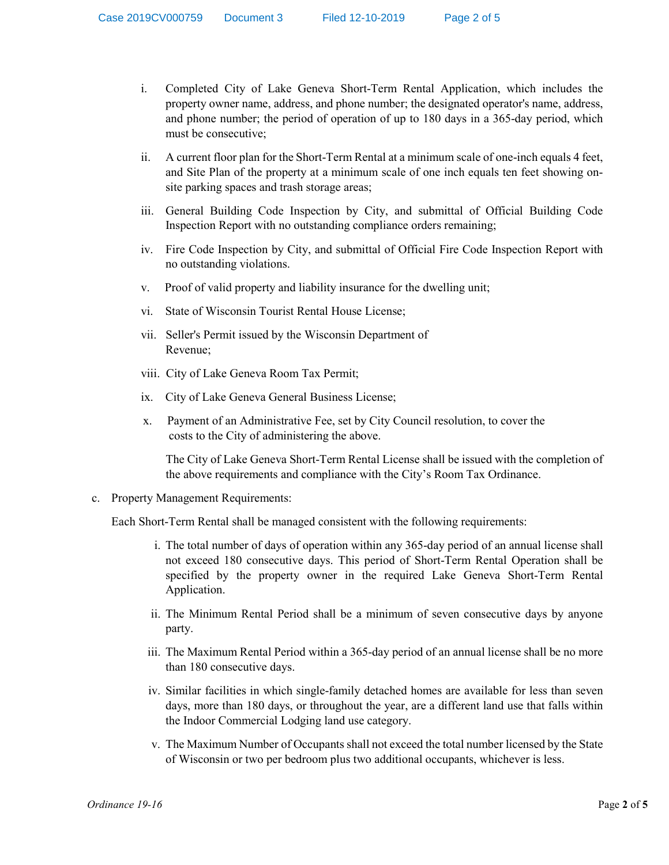- i. Completed City of Lake Geneva Short-Term Rental Application, which includes the property owner name, address, and phone number; the designated operator's name, address, and phone number; the period of operation of up to 180 days in a 365-day period, which must be consecutive;
- ii. A current floor plan for the Short-Term Rental at a minimum scale of one-inch equals 4 feet, and Site Plan of the property at a minimum scale of one inch equals ten feet showing onsite parking spaces and trash storage areas;
- iii. General Building Code Inspection by City, and submittal of Official Building Code Inspection Report with no outstanding compliance orders remaining;
- iv. Fire Code Inspection by City, and submittal of Official Fire Code Inspection Report with no outstanding violations.
- v. Proof of valid property and liability insurance for the dwelling unit;
- vi. State of Wisconsin Tourist Rental House License;
- vii. Seller's Permit issued by the Wisconsin Department of Revenue;
- viii. City of Lake Geneva Room Tax Permit;
- ix. City of Lake Geneva General Business License;
- x. Payment of an Administrative Fee, set by City Council resolution, to cover the costs to the City of administering the above.

The City of Lake Geneva Short-Term Rental License shall be issued with the completion of the above requirements and compliance with the City's Room Tax Ordinance.

c. Property Management Requirements:

Each Short-Term Rental shall be managed consistent with the following requirements:

- i. The total number of days of operation within any 365-day period of an annual license shall not exceed 180 consecutive days. This period of Short-Term Rental Operation shall be specified by the property owner in the required Lake Geneva Short-Term Rental Application.
- ii. The Minimum Rental Period shall be a minimum of seven consecutive days by anyone party.
- iii. The Maximum Rental Period within a 365-day period of an annual license shall be no more than 180 consecutive days.
- iv. Similar facilities in which single-family detached homes are available for less than seven days, more than 180 days, or throughout the year, are a different land use that falls within the Indoor Commercial Lodging land use category.
- v. The Maximum Number of Occupants shall not exceed the total number licensed by the State of Wisconsin or two per bedroom plus two additional occupants, whichever is less.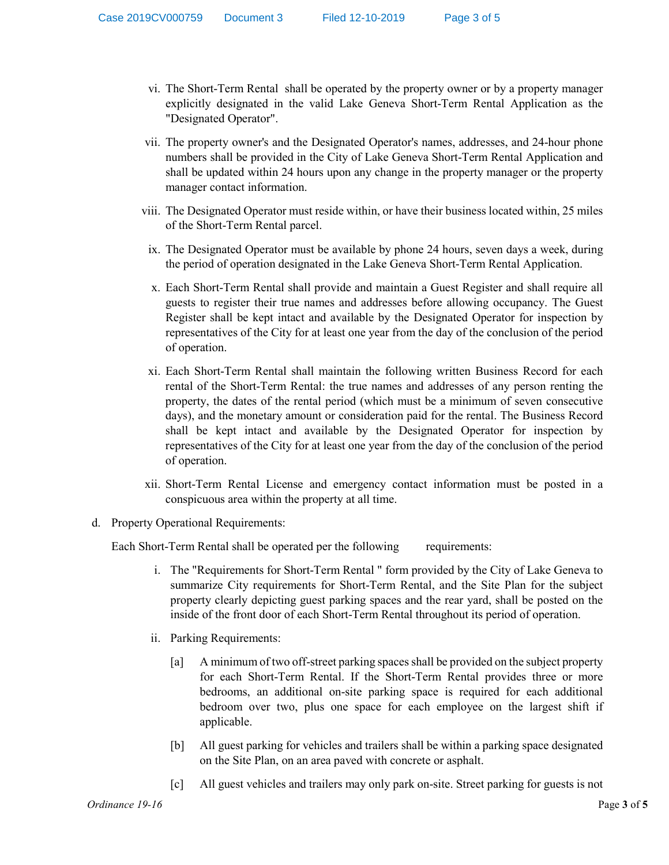- vi. The Short-Term Rental shall be operated by the property owner or by a property manager explicitly designated in the valid Lake Geneva Short-Term Rental Application as the "Designated Operator".
- vii. The property owner's and the Designated Operator's names, addresses, and 24-hour phone numbers shall be provided in the City of Lake Geneva Short-Term Rental Application and shall be updated within 24 hours upon any change in the property manager or the property manager contact information.
- viii. The Designated Operator must reside within, or have their business located within, 25 miles of the Short-Term Rental parcel.
- ix. The Designated Operator must be available by phone 24 hours, seven days a week, during the period of operation designated in the Lake Geneva Short-Term Rental Application.
- x. Each Short-Term Rental shall provide and maintain a Guest Register and shall require all guests to register their true names and addresses before allowing occupancy. The Guest Register shall be kept intact and available by the Designated Operator for inspection by representatives of the City for at least one year from the day of the conclusion of the period of operation.
- xi. Each Short-Term Rental shall maintain the following written Business Record for each rental of the Short-Term Rental: the true names and addresses of any person renting the property, the dates of the rental period (which must be a minimum of seven consecutive days), and the monetary amount or consideration paid for the rental. The Business Record shall be kept intact and available by the Designated Operator for inspection by representatives of the City for at least one year from the day of the conclusion of the period of operation.
- xii. Short-Term Rental License and emergency contact information must be posted in a conspicuous area within the property at all time.
- d. Property Operational Requirements:

Each Short-Term Rental shall be operated per the following requirements:

- i. The "Requirements for Short-Term Rental " form provided by the City of Lake Geneva to summarize City requirements for Short-Term Rental, and the Site Plan for the subject property clearly depicting guest parking spaces and the rear yard, shall be posted on the inside of the front door of each Short-Term Rental throughout its period of operation.
- ii. Parking Requirements:
	- [a] A minimum of two off-street parking spaces shall be provided on the subject property for each Short-Term Rental. If the Short-Term Rental provides three or more bedrooms, an additional on-site parking space is required for each additional bedroom over two, plus one space for each employee on the largest shift if applicable.
	- [b] All guest parking for vehicles and trailers shall be within a parking space designated on the Site Plan, on an area paved with concrete or asphalt.
	- [c] All guest vehicles and trailers may only park on-site. Street parking for guests is not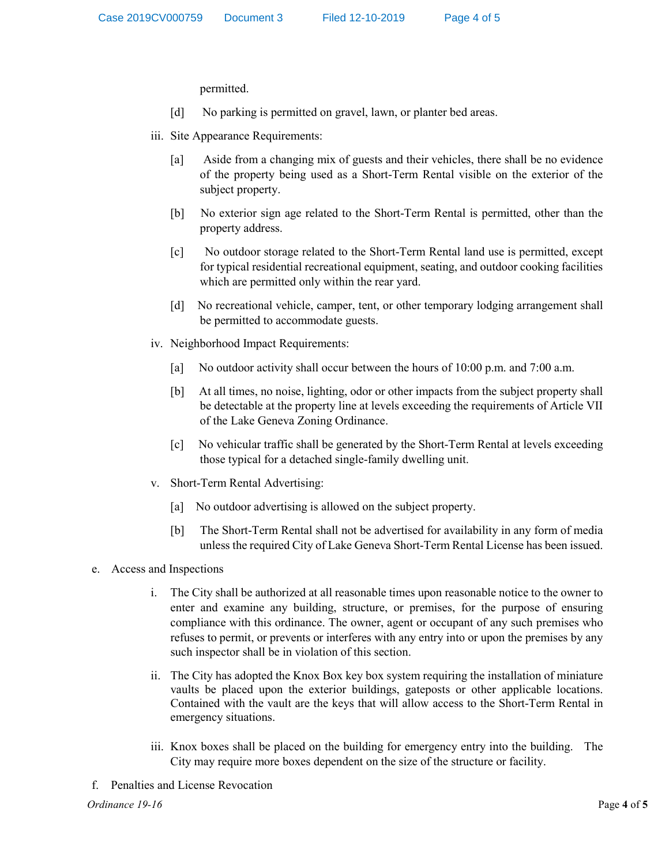permitted.

- [d] No parking is permitted on gravel, lawn, or planter bed areas.
- iii. Site Appearance Requirements:
	- [a] Aside from a changing mix of guests and their vehicles, there shall be no evidence of the property being used as a Short-Term Rental visible on the exterior of the subject property.
	- [b] No exterior sign age related to the Short-Term Rental is permitted, other than the property address.
	- [c] No outdoor storage related to the Short-Term Rental land use is permitted, except for typical residential recreational equipment, seating, and outdoor cooking facilities which are permitted only within the rear yard.
	- [d] No recreational vehicle, camper, tent, or other temporary lodging arrangement shall be permitted to accommodate guests.
- iv. Neighborhood Impact Requirements:
	- [a] No outdoor activity shall occur between the hours of 10:00 p.m. and 7:00 a.m.
	- [b] At all times, no noise, lighting, odor or other impacts from the subject property shall be detectable at the property line at levels exceeding the requirements of Article VII of the Lake Geneva Zoning Ordinance.
	- [c] No vehicular traffic shall be generated by the Short-Term Rental at levels exceeding those typical for a detached single-family dwelling unit.
- v. Short-Term Rental Advertising:
	- [a] No outdoor advertising is allowed on the subject property.
	- [b] The Short-Term Rental shall not be advertised for availability in any form of media unless the required City of Lake Geneva Short-Term Rental License has been issued.
- e. Access and Inspections
	- i. The City shall be authorized at all reasonable times upon reasonable notice to the owner to enter and examine any building, structure, or premises, for the purpose of ensuring compliance with this ordinance. The owner, agent or occupant of any such premises who refuses to permit, or prevents or interferes with any entry into or upon the premises by any such inspector shall be in violation of this section.
	- ii. The City has adopted the Knox Box key box system requiring the installation of miniature vaults be placed upon the exterior buildings, gateposts or other applicable locations. Contained with the vault are the keys that will allow access to the Short-Term Rental in emergency situations.
	- iii. Knox boxes shall be placed on the building for emergency entry into the building. The City may require more boxes dependent on the size of the structure or facility.
- f. Penalties and License Revocation